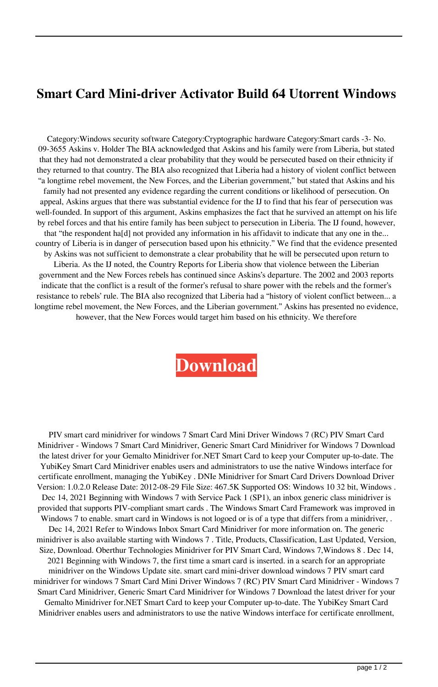## **Smart Card Mini-driver Activator Build 64 Utorrent Windows**

Category:Windows security software Category:Cryptographic hardware Category:Smart cards -3- No. 09-3655 Askins v. Holder The BIA acknowledged that Askins and his family were from Liberia, but stated that they had not demonstrated a clear probability that they would be persecuted based on their ethnicity if they returned to that country. The BIA also recognized that Liberia had a history of violent conflict between "a longtime rebel movement, the New Forces, and the Liberian government," but stated that Askins and his family had not presented any evidence regarding the current conditions or likelihood of persecution. On appeal, Askins argues that there was substantial evidence for the IJ to find that his fear of persecution was well-founded. In support of this argument, Askins emphasizes the fact that he survived an attempt on his life by rebel forces and that his entire family has been subject to persecution in Liberia. The IJ found, however, that "the respondent ha[d] not provided any information in his affidavit to indicate that any one in the... country of Liberia is in danger of persecution based upon his ethnicity." We find that the evidence presented by Askins was not sufficient to demonstrate a clear probability that he will be persecuted upon return to Liberia. As the IJ noted, the Country Reports for Liberia show that violence between the Liberian government and the New Forces rebels has continued since Askins's departure. The 2002 and 2003 reports indicate that the conflict is a result of the former's refusal to share power with the rebels and the former's resistance to rebels' rule. The BIA also recognized that Liberia had a "history of violent conflict between... a longtime rebel movement, the New Forces, and the Liberian government." Askins has presented no evidence, however, that the New Forces would target him based on his ethnicity. We therefore

## **[Download](http://evacdir.com/c21hcnQgY2FyZCBtaW5pLWRyaXZlciBkb3dubG9hZCB3aW5kb3dzIDcc21/ecological/pacifier.riles&trattorias=plagues&saqquara=ZG93bmxvYWR8cVYzTVdrMGMzeDhNVFkxTWpjME1EZzJObng4TWpVM05IeDhLRTBwSUhKbFlXUXRZbXh2WnlCYlJtRnpkQ0JIUlU1ZA)**

PIV smart card minidriver for windows 7 Smart Card Mini Driver Windows 7 (RC) PIV Smart Card Minidriver - Windows 7 Smart Card Minidriver, Generic Smart Card Minidriver for Windows 7 Download the latest driver for your Gemalto Minidriver for.NET Smart Card to keep your Computer up-to-date. The YubiKey Smart Card Minidriver enables users and administrators to use the native Windows interface for certificate enrollment, managing the YubiKey . DNIe Minidriver for Smart Card Drivers Download Driver Version: 1.0.2.0 Release Date: 2012-08-29 File Size: 467.5K Supported OS: Windows 10 32 bit, Windows . Dec 14, 2021 Beginning with Windows 7 with Service Pack 1 (SP1), an inbox generic class minidriver is provided that supports PIV-compliant smart cards . The Windows Smart Card Framework was improved in Windows 7 to enable. smart card in Windows is not logoed or is of a type that differs from a minidriver, . Dec 14, 2021 Refer to Windows Inbox Smart Card Minidriver for more information on. The generic minidriver is also available starting with Windows 7 . Title, Products, Classification, Last Updated, Version, Size, Download. Oberthur Technologies Minidriver for PIV Smart Card, Windows 7,Windows 8 . Dec 14, 2021 Beginning with Windows 7, the first time a smart card is inserted. in a search for an appropriate minidriver on the Windows Update site. smart card mini-driver download windows 7 PIV smart card minidriver for windows 7 Smart Card Mini Driver Windows 7 (RC) PIV Smart Card Minidriver - Windows 7 Smart Card Minidriver, Generic Smart Card Minidriver for Windows 7 Download the latest driver for your Gemalto Minidriver for.NET Smart Card to keep your Computer up-to-date. The YubiKey Smart Card Minidriver enables users and administrators to use the native Windows interface for certificate enrollment,